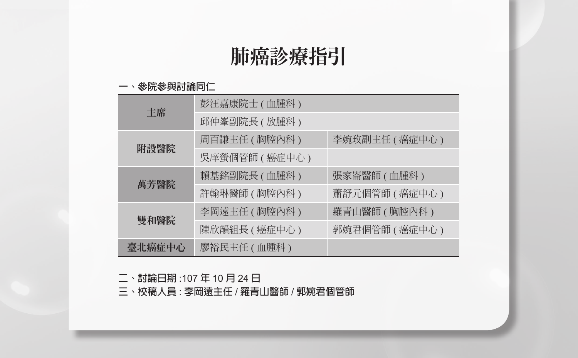# 肺癌診療指引

#### **一、參院參與討論同仁**

| 主席     | 彭汪嘉康院士 (血腫科)   |                 |
|--------|----------------|-----------------|
|        | 邱仲峯副院長 ( 放腫科 ) |                 |
| 附設醫院   | 周百謙主任 ( 胸腔內科 ) | 李婉玫副主任 ( 癌症中心 ) |
|        | 吳庠螢個管師 (癌症中心)  |                 |
| 萬芳醫院   | 賴基銘副院長 ( 血腫科 ) | 張家崙醫師 ( 血腫科 )   |
|        | 許翰琳醫師 ( 胸腔內科 ) | 蕭舒元個管師 ( 癌症中心 ) |
|        | 李岡遠主任(胸腔內科)    | 羅青山醫師 ( 胸腔內科 )  |
| 雙和醫院   | 陳欣韻組長 ( 癌症中心 ) | 郭婉君個管師 (癌症中心)   |
| 臺北癌症中心 | 廖裕民主任 (血腫科)    |                 |

**二、討論日期** :107 **年** 10 **月** 24 **日**

**三、校稿人員** : **李岡遠主任** / **羅青山醫師** / **郭婉君個管師**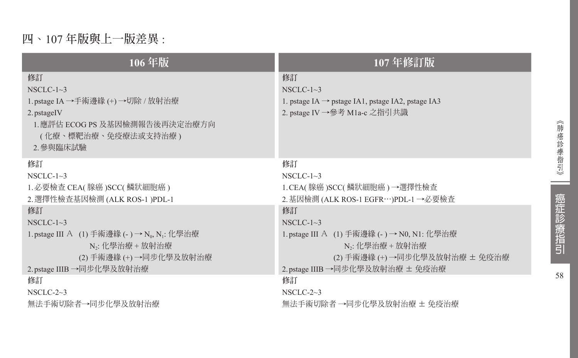# **四、**107 **年版與上一版差異** :

| 106年版                                                                                                   | 107年修訂版                                                                                                                 |
|---------------------------------------------------------------------------------------------------------|-------------------------------------------------------------------------------------------------------------------------|
| 修訂<br>NSCLC- $1~3$<br>1.pstage IA →手術邊緣 (+) →切除 / 放射治療<br>2. pstageIV<br>1. 應評估 ECOG PS 及基因檢測報告後再決定治療方向 | 修訂<br>NSCLC- $1\sim$ 3<br>1. pstage IA $\rightarrow$ pstage IA1, pstage IA2, pstage IA3<br>2. pstage IV →參考 M1a-c 之指引共識 |
| (化療、標靶治療、免疫療法或支持治療)<br>2.參與臨床試驗                                                                         |                                                                                                                         |
| 修訂                                                                                                      | 修訂                                                                                                                      |
| NSCLC- $1~3$                                                                                            | $NSCLC-1~3$                                                                                                             |
| 1. 必要檢查 CEA( 腺癌 )SCC( 鱗狀細胞癌 )                                                                           | 1. CEA( 腺癌 )SCC( 鱗狀細胞癌 ) →選擇性檢查                                                                                         |
| 2. 選擇性檢查基因檢測 (ALK ROS-1 )PDL-1                                                                          | 2. 基因檢測 (ALK ROS-1 EGFR…)PDL-1 →必要檢查                                                                                    |
| 修訂                                                                                                      | 修訂                                                                                                                      |
| NSCLC- $1\sim$ 3                                                                                        | NSCLC- $1~3$                                                                                                            |
| 1. pstage Ⅲ A (1) 手術邊緣 (- ) → N <sub>0</sub> , N <sub>1</sub> : 化學治療                                    | 1. pstage III A (1) 手術邊緣 (- ) → N0, N1: 化學治療                                                                            |
| N.: 化學治療 + 放射治療                                                                                         | N、: 化學治療 + 放射治療                                                                                                         |
| (2) 手術邊緣 (+) →同步化學及放射治療                                                                                 | (2) 手術邊緣 (+) →同步化學及放射治療 ± 免疫治療                                                                                          |
| 2. pstage IIIB →同步化學及放射治療                                                                               | 2.pstage IIIB →同步化學及放射治療 ± 免疫治療                                                                                         |
| 修訂                                                                                                      | 修訂                                                                                                                      |
| NSCLC-2 $\sim$ 3                                                                                        | NSCLC-2 $\sim$ 3                                                                                                        |
| 無法手術切除者→同步化學及放射治療                                                                                       | 無法手術切除者 →同步化學及放射治療 ± 免疫治療                                                                                               |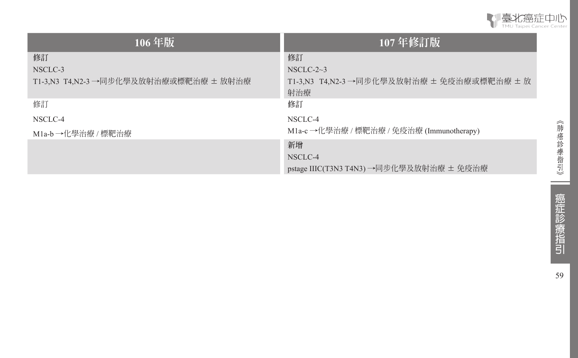

| 106年版                                  | 107年修訂版                                           |
|----------------------------------------|---------------------------------------------------|
| 修訂                                     | 修訂                                                |
| NSCLC-3                                | NSCLC-2 $\sim$ 3                                  |
| T1-3,N3 T4,N2-3 →同步化學及放射治療或標靶治療 ± 放射治療 | T1-3.N3 T4.N2-3 →同步化學及放射治療 ± 免疫治療或標靶治療 ± 放<br>射治療 |
| 修訂                                     | 修訂                                                |
| NSCLC-4                                | NSCLC-4                                           |
| M1a-b →化學治療 / 標靶治療                     | M1a-c→化學治療 / 標靶治療 / 免疫治療 (Immunotherapy)          |
|                                        | 新增                                                |
|                                        | NSCLC-4                                           |
|                                        | pstage IIIC(T3N3 T4N3) →同步化學及放射治療 ± 免疫治療          |

 $\sim$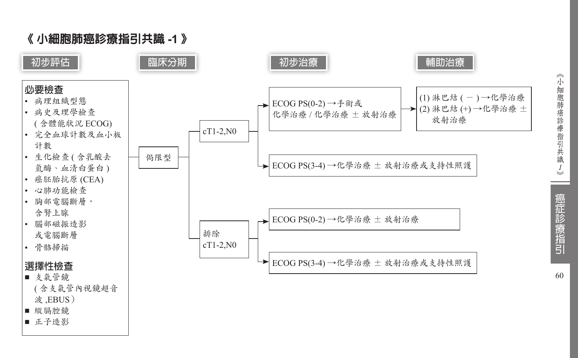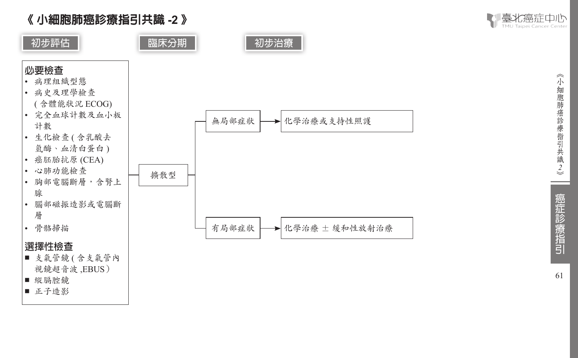

■ 初步評估 ┃  **┃ 臨床分期 ┃ ┃ 初步治療** 





### **選擇性檢查**

- 支氣管鏡 ( 含支氣管內 視鏡超音波 ,EBUS ) ■ 縱膈腔鏡
- 正子造影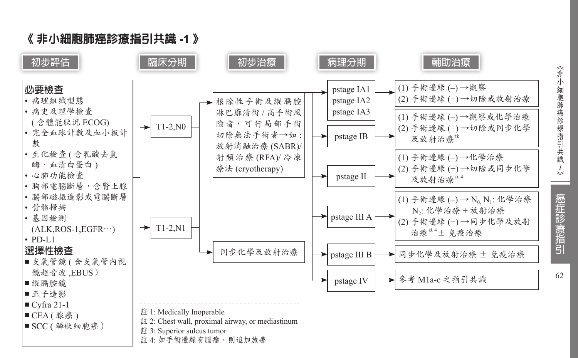

《非小細胞肺癌診療指引共識 *1*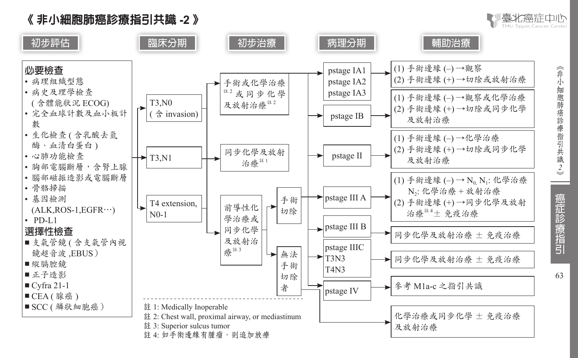《 非小細胞肺癌診療指引共識 **-2** 》



《非小細胞肺癌診療指引共識2》

| 裏北癌症由小

癌症診療指引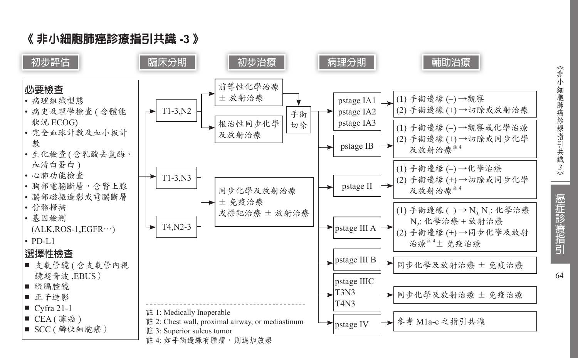癌症診療指引

# 《 非小細胞肺癌診療指引共識 **-3** 》

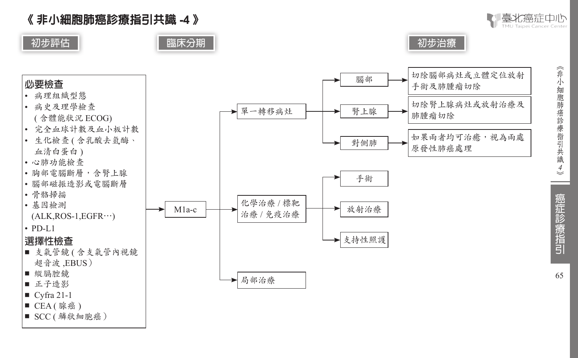《 非小細胞肺癌診療指引共識 **-4**  》







- $CEA($ 腺癌)
- SCC ( 鱗狀細胞癌 )

癌症診療指引

《非小細胞肺癌診療指引共識4》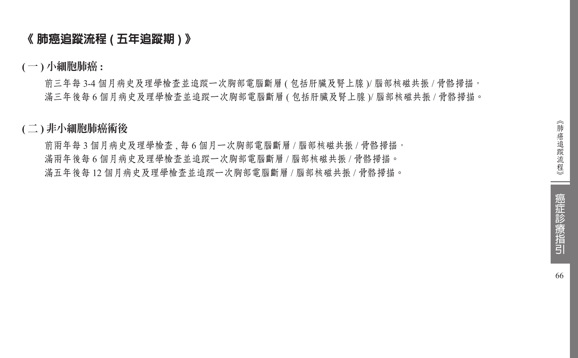### 《 肺癌追蹤流程 **(** 五年追蹤期 **)** 》

**(** 一 **)** 小細胞肺癌 **:**

前三年每 3-4 個月病史及理學檢查並追蹤一次胸部電腦斷層 ( 包括肝臟及腎上腺 )/ 腦部核磁共振 / 骨骼掃描, 滿三年後每 6 個月病史及理學檢查並追蹤一次胸部電腦斷層 ( 包括肝臟及腎上腺 )/ 腦部核磁共振 / 骨骼掃描。

#### **(** 二 **)** 非小細胞肺癌術後

前兩年每3個月病史及理學檢查、每6個月一次胸部電腦斷層 / 腦部核磁共振 / 骨骼掃描, 滿兩年後每 6 個月病史及理學檢查並追蹤一次胸部電腦斷層 / 腦部核磁共振 / 骨骼掃描。 滿五年後每 12 個月病史及理學檢查並追蹤一次胸部電腦斷層 / 腦部核磁共振 / 骨骼掃描。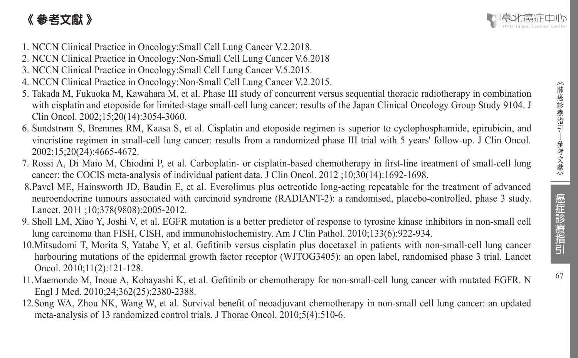# 《 參考文獻 》



- 1. NCCN Clinical Practice in Oncology:Small Cell Lung Cancer V.2.2018.
- 2. NCCN Clinical Practice in Oncology:Non-Small Cell Lung Cancer V.6.2018
- 3. NCCN Clinical Practice in Oncology:Small Cell Lung Cancer V.5.2015.
- 4. NCCN Clinical Practice in Oncology:Non-Small Cell Lung Cancer V.2.2015.
- 5. Takada M, Fukuoka M, Kawahara M, et al. Phase III study of concurrent versus sequential thoracic radiotherapy in combination with cisplatin and etoposide for limited-stage small-cell lung cancer: results of the Japan Clinical Oncology Group Study 9104. J Clin Oncol. 2002;15;20(14):3054-3060.
- 6. Sundstrøm S, Bremnes RM, Kaasa S, et al. Cisplatin and etoposide regimen is superior to cyclophosphamide, epirubicin, and vincristine regimen in small-cell lung cancer: results from a randomized phase III trial with 5 years' follow-up. J Clin Oncol. 2002;15;20(24):4665-4672.
- 7. Rossi A, Di Maio M, Chiodini P, et al. Carboplatin- or cisplatin-based chemotherapy in first-line treatment of small-cell lung cancer: the COCIS meta-analysis of individual patient data. J Clin Oncol. 2012 ;10;30(14):1692-1698.
- 8.Pavel ME, Hainsworth JD, Baudin E, et al. Everolimus plus octreotide long-acting repeatable for the treatment of advanced neuroendocrine tumours associated with carcinoid syndrome (RADIANT-2): a randomised, placebo-controlled, phase 3 study. Lancet. 2011 ;10;378(9808):2005-2012.
- 9. Sholl LM, Xiao Y, Joshi V, et al. EGFR mutation is a better predictor of response to tyrosine kinase inhibitors in non-small cell lung carcinoma than FISH, CISH, and immunohistochemistry. Am J Clin Pathol. 2010;133(6):922-934.
- 10.Mitsudomi T, Morita S, Yatabe Y, et al. Gefitinib versus cisplatin plus docetaxel in patients with non-small-cell lung cancer harbouring mutations of the epidermal growth factor receptor (WJTOG3405): an open label, randomised phase 3 trial. Lancet Oncol. 2010;11(2):121-128.
- 11.Maemondo M, Inoue A, Kobayashi K, et al. Gefitinib or chemotherapy for non-small-cell lung cancer with mutated EGFR. N Engl J Med. 2010;24;362(25):2380-2388.
- 12.Song WA, Zhou NK, Wang W, et al. Survival benefit of neoadjuvant chemotherapy in non-small cell lung cancer: an updated meta-analysis of 13 randomized control trials. J Thorac Oncol. 2010;5(4):510-6.

67

癌症診療指引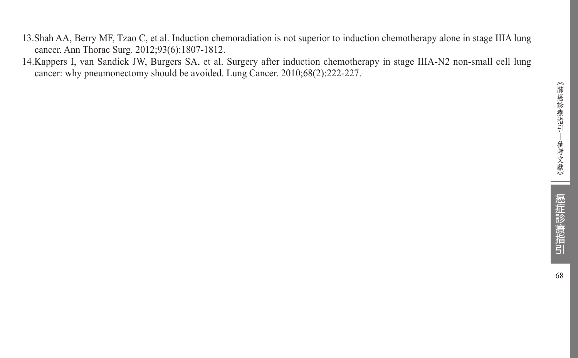- 13.Shah AA, Berry MF, Tzao C, et al. Induction chemoradiation is not superior to induction chemotherapy alone in stage IIIA lung cancer. Ann Thorac Surg. 2012;93(6):1807-1812.
- 14.Kappers I, van Sandick JW, Burgers SA, et al. Surgery after induction chemotherapy in stage IIIA-N2 non-small cell lung cancer: why pneumonectomy should be avoided. Lung Cancer. 2010;68(2):222-227.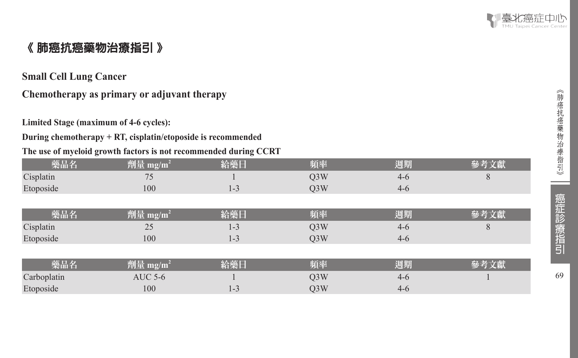

# 《 肺癌抗癌藥物治療指引 》

#### **Small Cell Lung Cancer**

## **Chemotherapy as primary or adjuvant therapy**

**Limited Stage (maximum of 4-6 cycles):** 

#### **During chemotherapy + RT, cisplatin/etoposide is recommended**

#### **The use of myeloid growth factors is not recommended during CCRT**

| 藥品名         | 劑量 mg/m <sup>2</sup> | 給藥日     | 頻率               | 週期      | 參考文獻 |
|-------------|----------------------|---------|------------------|---------|------|
| Cisplatin   | 75                   |         | Q <sub>3</sub> W | $4-6$   | 8    |
| Etoposide   | 100                  | $1 - 3$ | O <sub>3</sub> W | $4 - 6$ |      |
|             |                      |         |                  |         |      |
| 藥品名         | 劑量 mg/m <sup>2</sup> | 給藥日     | 頻率               | 週期      | 參考文獻 |
| Cisplatin   | 25                   | $1 - 3$ | Q <sub>3</sub> W | $4-6$   | 8    |
| Etoposide   | 100                  | $1 - 3$ | O <sub>3</sub> W | $4-6$   |      |
|             |                      |         |                  |         |      |
| 藥品名         | 劑量 mg/m <sup>2</sup> | 給藥日     | 頻率               | 週期      | 參考文獻 |
| Carboplatin | <b>AUC 5-6</b>       |         | O <sub>3</sub> W | $4-6$   |      |
| Etoposide   | 100                  | $1 - 3$ | O <sub>3</sub> W | $4 - 6$ |      |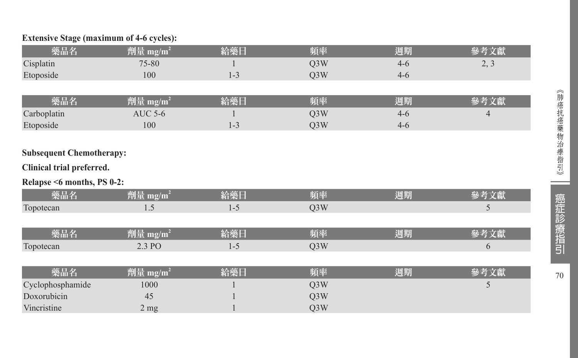#### **Extensive Stage (maximum of 4-6 cycles):**

| 藥品名                             | 劑量 mg/m <sup>2</sup> | 給藥日     | 頻率               | 週期      | 參考文獻 |
|---------------------------------|----------------------|---------|------------------|---------|------|
| Cisplatin                       | 75-80                |         | Q <sub>3</sub> W | $4 - 6$ | 2, 3 |
| Etoposide                       | 100                  | $1 - 3$ | Q3W              | $4 - 6$ |      |
|                                 |                      |         |                  |         |      |
| 藥品名                             | 劑量 mg/m <sup>2</sup> | 給藥日     | 頻率               | 週期      | 參考文獻 |
| Carboplatin                     | <b>AUC 5-6</b>       |         | Q <sub>3</sub> W | $4 - 6$ | 4    |
| Etoposide                       | 100                  | $1 - 3$ | Q3W              | $4 - 6$ |      |
|                                 |                      |         |                  |         |      |
| <b>Subsequent Chemotherapy:</b> |                      |         |                  |         |      |
| Clinical trial preferred.       |                      |         |                  |         |      |
| Relapse <6 months, PS 0-2:      |                      |         |                  |         |      |
| 藥品名                             | 劑量 mg/m <sup>2</sup> | 給藥日     | 頻率               | 週期      | 參考文獻 |
| Topotecan                       | 1.5                  | $1 - 5$ | Q <sub>3</sub> W |         | 5    |
|                                 |                      |         |                  |         |      |
| 藥品名                             | 劑量 mg/m <sup>2</sup> | 給藥日     | 頻率               | 週期      | 參考文獻 |
| Topotecan                       | 2.3 PO               | $1 - 5$ | Q <sub>3</sub> W |         | 6    |
|                                 |                      |         |                  |         |      |
| 藥品名                             | 劑量 mg/m <sup>2</sup> | 給藥日     | 頻率               | 週期      | 參考文獻 |
| Cyclophosphamide                | 1000                 |         | Q3W              |         | 5    |
| Doxorubicin                     | 45                   |         | Q <sub>3</sub> W |         |      |
| Vincristine                     | 2 <sub>mg</sub>      |         | Q3W              |         |      |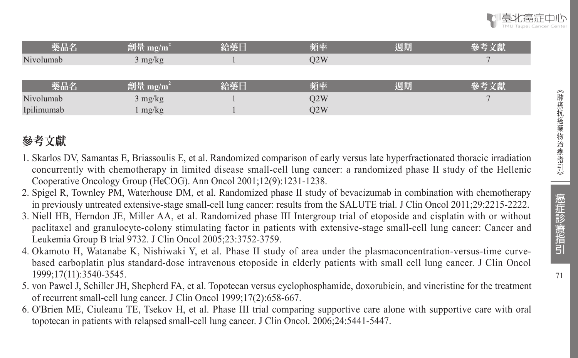| 藥品名        | 劑量 mg/m <sup>2</sup> | 給藥日 | 頻率  | 週期 | 參考文獻 |
|------------|----------------------|-----|-----|----|------|
| Nivolumab  | $3 \text{ mg/kg}$    |     | O2W |    |      |
|            |                      |     |     |    |      |
| 藥品名        | 劑量 mg/m <sup>2</sup> | 給藥日 | 頻率  | 週期 | 參考文獻 |
| Nivolumab  | $3$ mg/kg            |     | O2W |    |      |
| Ipilimumab | mg/kg                |     | O2W |    |      |

# 參考文獻

- 1. Skarlos DV, Samantas E, Briassoulis E, et al. Randomized comparison of early versus late hyperfractionated thoracic irradiation concurrently with chemotherapy in limited disease small-cell lung cancer: a randomized phase II study of the Hellenic Cooperative Oncology Group (HeCOG). Ann Oncol 2001;12(9):1231-1238.
- 2. Spigel R, Townley PM, Waterhouse DM, et al. Randomized phase II study of bevacizumab in combination with chemotherapy in previously untreated extensive-stage small-cell lung cancer: results from the SALUTE trial. J Clin Oncol 2011;29:2215-2222.
- 3. Niell HB, Herndon JE, Miller AA, et al. Randomized phase III Intergroup trial of etoposide and cisplatin with or without paclitaxel and granulocyte-colony stimulating factor in patients with extensive-stage small-cell lung cancer: Cancer and Leukemia Group B trial 9732. J Clin Oncol 2005;23:3752-3759.
- 4. Okamoto H, Watanabe K, Nishiwaki Y, et al. Phase II study of area under the plasmaconcentration-versus-time curvebased carboplatin plus standard-dose intravenous etoposide in elderly patients with small cell lung cancer. J Clin Oncol 1999;17(11):3540-3545.
- 5. von Pawel J, Schiller JH, Shepherd FA, et al. Topotecan versus cyclophosphamide, doxorubicin, and vincristine for the treatment of recurrent small-cell lung cancer. J Clin Oncol 1999;17(2):658-667.
- 6. O'Brien ME, Ciuleanu TE, Tsekov H, et al. Phase III trial comparing supportive care alone with supportive care with oral topotecan in patients with relapsed small-cell lung cancer. J Clin Oncol. 2006;24:5441-5447.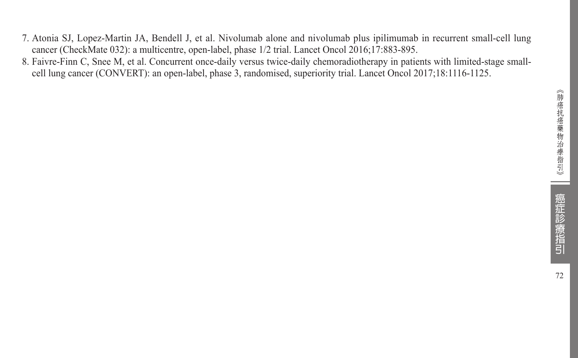- 7. Atonia SJ, Lopez-Martin JA, Bendell J, et al. Nivolumab alone and nivolumab plus ipilimumab in recurrent small-cell lung cancer (CheckMate 032): a multicentre, open-label, phase 1/2 trial. Lancet Oncol 2016;17:883-895.
- 8. Faivre-Finn C, Snee M, et al. Concurrent once-daily versus twice-daily chemoradiotherapy in patients with limited-stage smallcell lung cancer (CONVERT): an open-label, phase 3, randomised, superiority trial. Lancet Oncol 2017;18:1116-1125.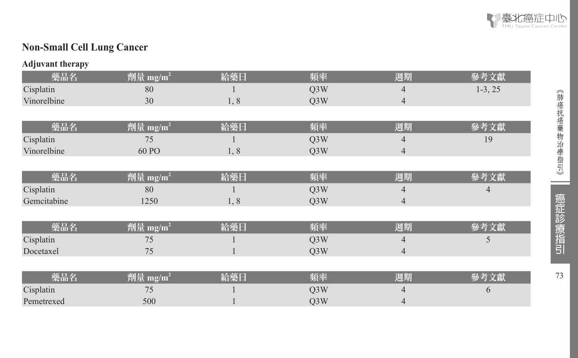

# **Non-Small Cell Lung Cancer**

#### **Adjuvant therapy**

| 藥品名         | 劑量 mg/m <sup>2</sup> | 給藥日 | 頻率               | 週期             | 參考文獻      |
|-------------|----------------------|-----|------------------|----------------|-----------|
| Cisplatin   | 80                   |     | Q <sub>3</sub> W | 4              | $1-3, 25$ |
| Vinorelbine | 30                   | 1,8 | Q3W              | $\overline{4}$ |           |
|             |                      |     |                  |                |           |
| 藥品名         | 劑量 mg/m <sup>2</sup> | 給藥日 | 頻率               | 週期             | 參考文獻      |
| Cisplatin   | 75                   |     | Q3W              | 4              | 19        |
| Vinorelbine | 60 PO                | 1,8 | Q <sub>3</sub> W | $\overline{4}$ |           |
|             |                      |     |                  |                |           |
| 藥品名         | 劑量 mg/m <sup>2</sup> | 給藥日 | 頻率               | 週期             | 參考文獻      |
| Cisplatin   | 80                   |     | Q <sub>3</sub> W | 4              | 4         |
| Gemcitabine | 1250                 | 1,8 | Q3W              | $\overline{4}$ |           |
|             |                      |     |                  |                |           |
| 藥品名         | 劑量 mg/m <sup>2</sup> | 給藥日 | 頻率               | 週期             | 參考文獻      |
| Cisplatin   | 75                   |     | Q <sub>3</sub> W | 4              | 5         |
| Docetaxel   | 75                   |     | Q3W              | $\overline{4}$ |           |
|             |                      |     |                  |                |           |
| 藥品名         | 劑量 mg/m <sup>2</sup> | 給藥日 | 頻率               | 週期             | 參考文獻      |
| Cisplatin   | 75                   |     | Q <sub>3</sub> W |                | 6         |
| Pemetrexed  | 500                  |     | Q3W              | 4              |           |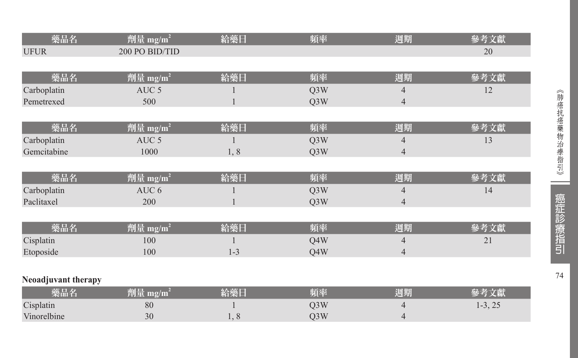| 藥品名                 | 劑量 mg/m <sup>2</sup> | 給藥日          | 頻率  | 週期             | 參考文獻      |
|---------------------|----------------------|--------------|-----|----------------|-----------|
| <b>UFUR</b>         | 200 PO BID/TID       |              |     |                | 20        |
|                     |                      |              |     |                |           |
| 藥品名                 | 劑量 mg/m <sup>2</sup> | 給藥日          | 頻率  | 週期             | 參考文獻      |
| Carboplatin         | AUC <sub>5</sub>     |              | Q3W | 4              | 12        |
| Pemetrexed          | 500                  | $\mathbf{1}$ | Q3W | $\overline{4}$ |           |
|                     |                      |              |     |                |           |
| 藥品名                 | 劑量 mg/m <sup>2</sup> | 給藥日          | 頻率  | 週期             | 參考文獻      |
| Carboplatin         | AUC <sub>5</sub>     |              | Q3W | 4              | 13        |
| Gemcitabine         | 1000                 | 1,8          | Q3W | $\overline{4}$ |           |
|                     |                      |              |     |                |           |
| 藥品名                 | 劑量 mg/m <sup>2</sup> | 給藥日          | 頻率  | 週期             | 參考文獻      |
| Carboplatin         | AUC 6                |              | Q3W | 4              | 14        |
| Paclitaxel          | 200                  |              | Q3W | $\overline{4}$ |           |
|                     |                      |              |     |                |           |
| 藥品名                 | 劑量 mg/m <sup>2</sup> | 給藥日          | 頻率  | 週期             | 參考文獻      |
| Cisplatin           | 100                  |              | Q4W | $\overline{4}$ | 21        |
| Etoposide           | 100                  | $1 - 3$      | Q4W | $\overline{4}$ |           |
|                     |                      |              |     |                |           |
| Neoadjuvant therapy |                      |              |     |                |           |
| 藥品名                 | 劑量 mg/m <sup>2</sup> | 給藥日          | 頻率  | 週期             | 參考文獻      |
| Cisplatin           | 80                   |              | Q3W | 4              | $1-3, 25$ |
| Vinorelbine         | 30                   | 1,8          | Q3W | 4              |           |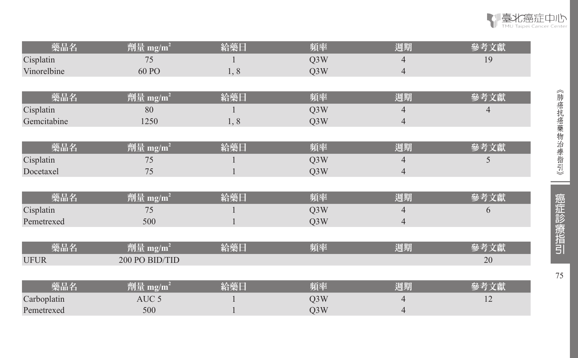| 藥品名         | 劑量 mg/m <sup>2</sup> | 給藥日 | 頻率               | 週期             | 參考文獻           |
|-------------|----------------------|-----|------------------|----------------|----------------|
| Cisplatin   | 75                   |     | Q <sub>3</sub> W | 4              | 19             |
| Vinorelbine | 60 PO                | 1,8 | Q3W              | $\overline{4}$ |                |
|             |                      |     |                  |                |                |
| 藥品名         | 劑量 mg/m <sup>2</sup> | 給藥日 | 頻率               | 週期             | 參考文獻           |
| Cisplatin   | 80                   |     | Q3W              | 4              | $\overline{4}$ |
| Gemcitabine | 1250                 | 1,8 | Q3W              | $\overline{4}$ |                |
|             |                      |     |                  |                |                |
| 藥品名         | 劑量 mg/m <sup>2</sup> | 給藥日 | 頻率               | 週期             | 參考文獻           |
| Cisplatin   | 75                   |     | Q3W              | 4              | 5              |
| Docetaxel   | 75                   |     | Q3W              | $\overline{4}$ |                |
|             |                      |     |                  |                |                |
| 藥品名         | 劑量 mg/m <sup>2</sup> | 給藥日 | 頻率               | 週期             | 參考文獻           |
| Cisplatin   | 75                   |     | Q3W              | 4              | 6              |
| Pemetrexed  | 500                  |     | Q3W              | $\overline{4}$ |                |
|             |                      |     |                  |                |                |
| 藥品名         | 劑量 mg/m <sup>2</sup> | 給藥日 | 頻率               | 週期             | 參考文獻           |
| <b>UFUR</b> | 200 PO BID/TID       |     |                  |                | 20             |
|             |                      |     |                  |                |                |
| 藥品名         | 劑量 mg/m <sup>2</sup> | 給藥日 | 頻率               | 週期             | 參考文獻           |
| Carboplatin | AUC <sub>5</sub>     |     | Q3W              | 4              | 12             |
| Pemetrexed  | 500                  |     | Q3W              | 4              |                |

THEXTE THE 癌症中心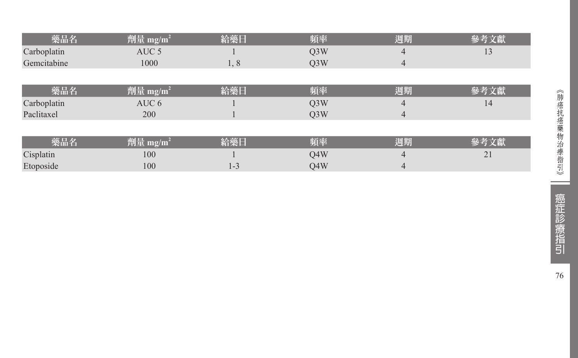| 藥品名         | 劑量 mg/m <sup>2</sup>            | 給藥日     | 頻率               | 週期 | 參考文獻 |
|-------------|---------------------------------|---------|------------------|----|------|
| Carboplatin | AUC <sub>5</sub>                |         | Q <sub>3</sub> W | 4  | 13   |
| Gemcitabine | 1000                            | 1,8     | Q <sub>3</sub> W | 4  |      |
|             |                                 |         |                  |    |      |
| 藥品名         | $\frac{m}{2}$ mg/m <sup>2</sup> | 給藥日     | 頻率               | 週期 | 參考文獻 |
| Carboplatin | AUC 6                           |         | Q <sub>3</sub> W | 4  | 14   |
| Paclitaxel  | 200                             |         | O <sub>3</sub> W | 4  |      |
|             |                                 |         |                  |    |      |
| 藥品名         | 劑量 mg/m <sup>2</sup>            | 給藥日     | 頻率               | 週期 | 參考文獻 |
| Cisplatin   | 100                             |         | O4W              | 4  | 21   |
| Etoposide   | 100                             | $1 - 3$ | O4W              | 4  |      |

**Contract**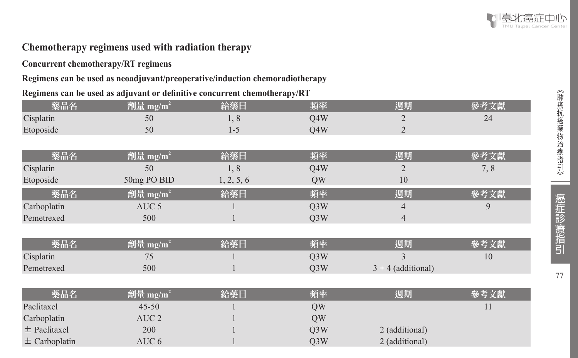#### **Chemotherapy regimens used with radiation therapy**

#### **Concurrent chemotherapy/RT regimens**

#### **Regimens can be used as neoadjuvant/preoperative/induction chemoradiotherapy**

#### **Regimens can be used as adjuvant or definitive concurrent chemotherapy/RT**

| 藥品名               | 劑量 mg/m <sup>2</sup> | 給藥日        | 頻率               | 週期                   | 參考文獻 |
|-------------------|----------------------|------------|------------------|----------------------|------|
| Cisplatin         | 50                   | 1,8        | Q4W              | 2                    | 24   |
| Etoposide         | 50                   | $1 - 5$    | Q4W              | $\overline{2}$       |      |
|                   |                      |            |                  |                      |      |
| 藥品名               | 劑量 mg/m <sup>2</sup> | 給藥日        | 頻率               | 週期                   | 參考文獻 |
| Cisplatin         | 50                   | 1,8        | Q4W              | $\overline{2}$       | 7,8  |
| Etoposide         | 50mg PO BID          | 1, 2, 5, 6 | QW               | 10                   |      |
| 藥品名               | 劑量 mg/m <sup>2</sup> | 給藥日        | 頻率               | 週期                   | 多考文獻 |
| Carboplatin       | AUC <sub>5</sub>     |            | Q <sub>3</sub> W | $\overline{4}$       | 9    |
| Pemetrexed        | 500                  |            | Q <sub>3</sub> W | 4                    |      |
|                   |                      |            |                  |                      |      |
| 藥品名               | 劑量 mg/m <sup>2</sup> | 給藥日        | 頻率               | 週期                   | 參考文獻 |
| Cisplatin         | 75                   |            | Q <sub>3</sub> W | 3                    | 10   |
| Pemetrexed        | 500                  |            | Q3W              | $3 + 4$ (additional) |      |
|                   |                      |            |                  |                      |      |
| 藥品名               | 劑量 mg/m <sup>2</sup> | 給藥日        | 頻率               | 週期                   | 參考文獻 |
| Paclitaxel        | $45 - 50$            |            | QW               |                      | 11   |
| Carboplatin       | AUC <sub>2</sub>     |            | QW               |                      |      |
| $\pm$ Paclitaxel  | 200                  |            | Q3W              | 2 (additional)       |      |
| $\pm$ Carboplatin | AUC <sub>6</sub>     |            | Q3W              | 2 (additional)       |      |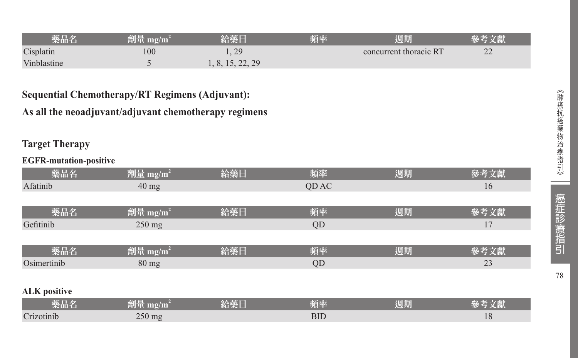| 樂品名         | 劑量 mg/mi | NT XE L          | 頃率 | 週期                     |                |
|-------------|----------|------------------|----|------------------------|----------------|
| Cisplatin   | 100      | 1, 29            |    | concurrent thoracic RT | $\gamma$<br>∠∠ |
| Vinblastine |          | 1, 8, 15, 22, 29 |    |                        |                |

### **Sequential Chemotherapy/RT Regimens (Adjuvant):**

#### **As all the neoadjuvant/adjuvant chemotherapy regimens**

#### **Target Therapy**

#### **EGFR-mutation-positive**

| 藥品名                 | 劑量 mg/m <sup>2</sup> | 給藥日 | 頻率    | 週期 | 參考文獻 |
|---------------------|----------------------|-----|-------|----|------|
| Afatinib            | $40 \text{ mg}$      |     | QD AC |    | 16   |
|                     |                      |     |       |    |      |
| 藥品名                 | 劑量 mg/m <sup>2</sup> | 給藥日 | 頻率    | 週期 | 參考文獻 |
| Gefitinib           | $250 \text{ mg}$     |     | QD    |    | 17   |
|                     |                      |     |       |    |      |
| 藥品名                 | 劑量 mg/m <sup>2</sup> | 給藥日 | 頻率    | 週期 | 參考文獻 |
| Osimertinib         | $80 \text{ mg}$      |     | QD    |    | 23   |
|                     |                      |     |       |    |      |
| <b>ALK</b> positive |                      |     |       |    |      |

| 藥品名        | 削量<br>$\mathbf{m}$ g/ $\mathbf{m}$ | 給藥日 | 頃率  | 週期 | ZS.<br>/人材ハ |
|------------|------------------------------------|-----|-----|----|-------------|
| Crizotinib | $250 \text{ mg}$                   |     | BID |    | 10          |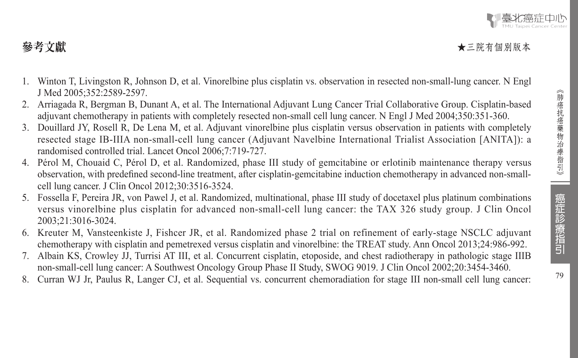- 1. Winton T, Livingston R, Johnson D, et al. Vinorelbine plus cisplatin vs. observation in resected non-small-lung cancer. N Engl J Med 2005;352:2589-2597.
- 2. Arriagada R, Bergman B, Dunant A, et al. The International Adjuvant Lung Cancer Trial Collaborative Group. Cisplatin-based adjuvant chemotherapy in patients with completely resected non-small cell lung cancer. N Engl J Med 2004;350:351-360.
- 3. Douillard JY, Rosell R, De Lena M, et al. Adjuvant vinorelbine plus cisplatin versus observation in patients with completely resected stage IB-IIIA non-small-cell lung cancer (Adjuvant Navelbine International Trialist Association [ANITA]): a randomised controlled trial. Lancet Oncol 2006;7:719-727.
- 4. Pérol M, Chouaid C, Pérol D, et al. Randomized, phase III study of gemcitabine or erlotinib maintenance therapy versus observation, with predefined second-line treatment, after cisplatin-gemcitabine induction chemotherapy in advanced non-smallcell lung cancer. J Clin Oncol 2012;30:3516-3524.
- 5. Fossella F, Pereira JR, von Pawel J, et al. Randomized, multinational, phase III study of docetaxel plus platinum combinations versus vinorelbine plus cisplatin for advanced non-small-cell lung cancer: the TAX 326 study group. J Clin Oncol 2003;21:3016-3024.
- 6. Kreuter M, Vansteenkiste J, Fishcer JR, et al. Randomized phase 2 trial on refinement of early-stage NSCLC adjuvant chemotherapy with cisplatin and pemetrexed versus cisplatin and vinorelbine: the TREAT study. Ann Oncol 2013;24:986-992.
- 7. Albain KS, Crowley JJ, Turrisi AT III, et al. Concurrent cisplatin, etoposide, and chest radiotherapy in pathologic stage IIIB non-small-cell lung cancer: A Southwest Oncology Group Phase II Study, SWOG 9019. J Clin Oncol 2002;20:3454-3460.
- 8. Curran WJ Jr, Paulus R, Langer CJ, et al. Sequential vs. concurrent chemoradiation for stage III non-small cell lung cancer: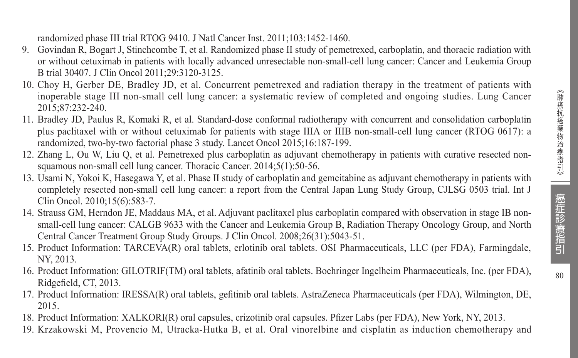randomized phase III trial RTOG 9410. J Natl Cancer Inst. 2011;103:1452-1460.

- 9. Govindan R, Bogart J, Stinchcombe T, et al. Randomized phase II study of pemetrexed, carboplatin, and thoracic radiation with or without cetuximab in patients with locally advanced unresectable non-small-cell lung cancer: Cancer and Leukemia Group B trial 30407. J Clin Oncol 2011;29:3120-3125.
- 10. Choy H, Gerber DE, Bradley JD, et al. Concurrent pemetrexed and radiation therapy in the treatment of patients with inoperable stage III non-small cell lung cancer: a systematic review of completed and ongoing studies. Lung Cancer 2015;87:232-240.
- 11. Bradley JD, Paulus R, Komaki R, et al. Standard-dose conformal radiotherapy with concurrent and consolidation carboplatin plus paclitaxel with or without cetuximab for patients with stage IIIA or IIIB non-small-cell lung cancer (RTOG 0617): a randomized, two-by-two factorial phase 3 study. Lancet Oncol 2015;16:187-199.
- 12. Zhang L, Ou W, Liu Q, et al. Pemetrexed plus carboplatin as adjuvant chemotherapy in patients with curative resected nonsquamous non-small cell lung cancer. Thoracic Cancer. 2014;5(1):50-56.
- 13. Usami N, Yokoi K, Hasegawa Y, et al. Phase II study of carboplatin and gemcitabine as adjuvant chemotherapy in patients with completely resected non-small cell lung cancer: a report from the Central Japan Lung Study Group, CJLSG 0503 trial. Int J Clin Oncol. 2010;15(6):583-7.
- 14. Strauss GM, Herndon JE, Maddaus MA, et al. Adjuvant paclitaxel plus carboplatin compared with observation in stage IB nonsmall-cell lung cancer: CALGB 9633 with the Cancer and Leukemia Group B, Radiation Therapy Oncology Group, and North Central Cancer Treatment Group Study Groups. J Clin Oncol. 2008;26(31):5043-51.
- 15. Product Information: TARCEVA(R) oral tablets, erlotinib oral tablets. OSI Pharmaceuticals, LLC (per FDA), Farmingdale, NY, 2013.
- 16. Product Information: GILOTRIF(TM) oral tablets, afatinib oral tablets. Boehringer Ingelheim Pharmaceuticals, Inc. (per FDA), Ridgefield, CT, 2013.
- 17. Product Information: IRESSA(R) oral tablets, gefitinib oral tablets. AstraZeneca Pharmaceuticals (per FDA), Wilmington, DE, 2015.
- 18. Product Information: XALKORI(R) oral capsules, crizotinib oral capsules. Pfizer Labs (per FDA), New York, NY, 2013.
- 19. Krzakowski M, Provencio M, Utracka-Hutka B, et al. Oral vinorelbine and cisplatin as induction chemotherapy and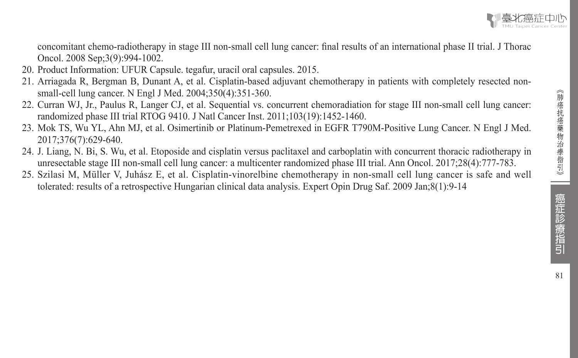

concomitant chemo-radiotherapy in stage III non-small cell lung cancer: final results of an international phase II trial. J Thorac Oncol. 2008 Sep;3(9):994-1002.

- 20. Product Information: UFUR Capsule. tegafur, uracil oral capsules. 2015.
- 21. Arriagada R, Bergman B, Dunant A, et al. Cisplatin-based adjuvant chemotherapy in patients with completely resected nonsmall-cell lung cancer. N Engl J Med. 2004;350(4):351-360.
- 22. Curran WJ, Jr., Paulus R, Langer CJ, et al. Sequential vs. concurrent chemoradiation for stage III non-small cell lung cancer: randomized phase III trial RTOG 9410. J Natl Cancer Inst. 2011;103(19):1452-1460.
- 23. Mok TS, Wu YL, Ahn MJ, et al. Osimertinib or Platinum-Pemetrexed in EGFR T790M-Positive Lung Cancer. N Engl J Med. 2017;376(7):629-640.
- 24. J. Liang, N. Bi, S. Wu, et al. Etoposide and cisplatin versus paclitaxel and carboplatin with concurrent thoracic radiotherapy in unresectable stage III non-small cell lung cancer: a multicenter randomized phase III trial. Ann Oncol. 2017;28(4):777-783.
- 25. Szilasi M, Müller V, Juhász E, et al. Cisplatin-vinorelbine chemotherapy in non-small cell lung cancer is safe and well tolerated: results of a retrospective Hungarian clinical data analysis. Expert Opin Drug Saf. 2009 Jan;8(1):9-14

| 癌症診療指引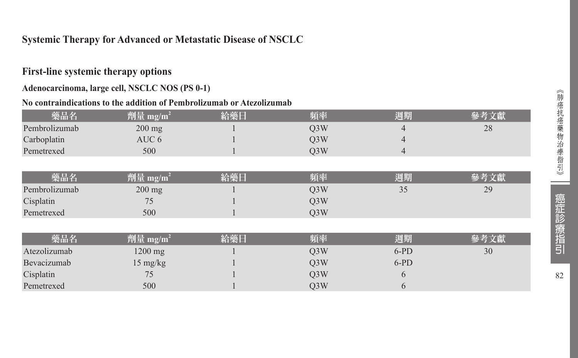#### **Systemic Therapy for Advanced or Metastatic Disease of NSCLC**

#### **First-line systemic therapy options**

#### **Adenocarcinoma, large cell, NSCLC NOS (PS 0-1)**

#### **No contraindications to the addition of Pembrolizumab or Atezolizumab**

| 藥品名           | 劑量 mg/m <sup>2</sup> | 給藥日 | 頻率               | 週期     | 參考文獻 |
|---------------|----------------------|-----|------------------|--------|------|
| Pembrolizumab | $200$ mg             |     | Q <sub>3</sub> W | 4      | 28   |
| Carboplatin   | AUC 6                |     | Q <sub>3</sub> W | 4      |      |
| Pemetrexed    | 500                  |     | O <sub>3</sub> W | 4      |      |
|               |                      |     |                  |        |      |
| 藥品名           | 劑量 mg/m <sup>2</sup> | 給藥日 | 頻率               | 週期     | 參考文獻 |
| Pembrolizumab | $200 \text{ mg}$     |     | O <sub>3</sub> W | 35     | 29   |
| Cisplatin     | 75                   |     | Q <sub>3</sub> W |        |      |
| Pemetrexed    | 500                  |     | Q <sub>3</sub> W |        |      |
|               |                      |     |                  |        |      |
| 藥品名           | 劑量 mg/m <sup>2</sup> | 給藥日 | 頻率               | 週期     | 參考文獻 |
| Atezolizumab  | 1200 mg              |     | O <sub>3</sub> W | $6-PD$ | 30   |
| Bevacizumab   | $15 \text{ mg/kg}$   |     | Q <sub>3</sub> W | $6-PD$ |      |
| Cisplatin     | 75                   |     | O <sub>3</sub> W | 6      |      |
| Pemetrexed    | 500                  |     | Q <sub>3</sub> W | 6      |      |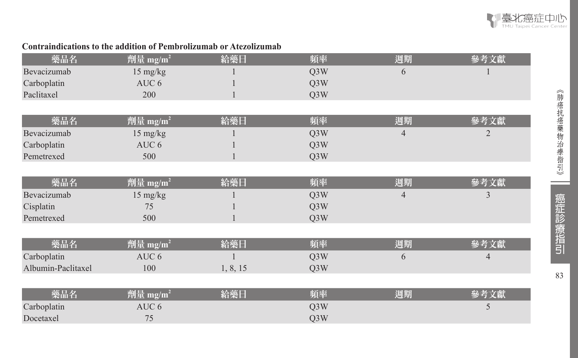

#### **Contraindications to the addition of Pembrolizumab or Atezolizumab**

| 藥品名                | 劑量 mg/m <sup>2</sup> | 給藥日      | 頻率               | 週期             | 參考文獻           |
|--------------------|----------------------|----------|------------------|----------------|----------------|
| Bevacizumab        | 15 mg/kg             |          | Q <sub>3</sub> W | 6              |                |
| Carboplatin        | AUC <sub>6</sub>     |          | Q <sub>3</sub> W |                |                |
| Paclitaxel         | 200                  |          | Q <sub>3</sub> W |                |                |
|                    |                      |          |                  |                |                |
| 藥品名                | 劑量 mg/m <sup>2</sup> | 給藥日      | 頻率               | 週期             | 參考文獻           |
| Bevacizumab        | 15 mg/kg             |          | Q3W              | $\overline{4}$ | $\overline{2}$ |
| Carboplatin        | AUC 6                |          | Q3W              |                |                |
| Pemetrexed         | 500                  |          | Q3W              |                |                |
|                    |                      |          |                  |                |                |
| 藥品名                | 劑量 mg/m <sup>2</sup> | 給藥日      | 頻率               | 週期             | 參考文獻           |
| Bevacizumab        | $15 \text{ mg/kg}$   |          | Q <sub>3</sub> W | 4              | 3              |
| Cisplatin          | 75                   |          | Q3W              |                |                |
| Pemetrexed         | 500                  |          | Q3W              |                |                |
|                    |                      |          |                  |                |                |
| 藥品名                | 劑量 mg/m <sup>2</sup> | 給藥日      | 頻率               | 週期             | 參考文獻           |
| Carboplatin        | AUC 6                |          | Q3W              | 6              | $\overline{4}$ |
| Albumin-Paclitaxel | 100                  | 1, 8, 15 | Q3W              |                |                |
|                    |                      |          |                  |                |                |
| 藥品名                | 劑量 mg/m <sup>2</sup> | 給藥日      | 頻率               | 週期             | 參考文獻           |
| Carboplatin        | AUC 6                |          | Q3W              |                | 5              |
| Docetaxel          | 75                   |          | Q <sub>3</sub> W |                |                |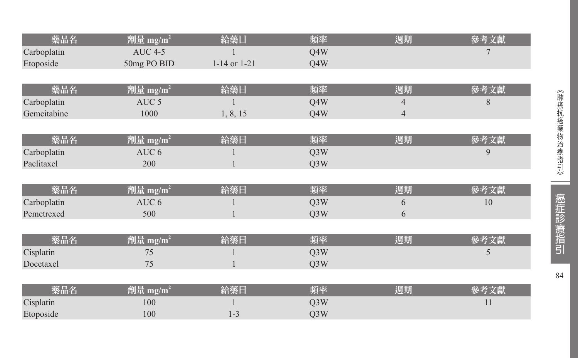| 藥品名         | 劑量 mg/m <sup>2</sup>              | 給藥日              | 頻率               | 週期             | 參考文獻 |
|-------------|-----------------------------------|------------------|------------------|----------------|------|
| Carboplatin | <b>AUC 4-5</b>                    |                  | Q4W              |                |      |
| Etoposide   | 50mg PO BID                       | $1-14$ or $1-21$ | Q4W              |                |      |
|             |                                   |                  |                  |                |      |
| 藥品名         | 劑量 mg/m <sup>2</sup>              | 給藥日              | 頻率               | 週期             | 參考文獻 |
| Carboplatin | AUC <sub>5</sub>                  |                  | Q4W              | $\overline{4}$ | 8    |
| Gemcitabine | 1000                              | 1, 8, 15         | Q4W              | $\overline{4}$ |      |
|             |                                   |                  |                  |                |      |
| 藥品名         | 劑量 mg/m <sup>2</sup>              | 給藥日              | 頻率               | 週期             | 參考文獻 |
| Carboplatin | AUC 6                             |                  | Q <sub>3</sub> W |                | 9    |
| Paclitaxel  | 200                               |                  | Q <sub>3</sub> W |                |      |
|             |                                   |                  |                  |                |      |
| 藥品名         | 劑量 mg/m <sup>2</sup>              | 給藥日              | 頻率               | 週期             | 參考文獻 |
| Carboplatin | AUC 6                             |                  | Q <sub>3</sub> W | 6              | 10   |
| Pemetrexed  | 500                               |                  | Q3W              | 6              |      |
|             |                                   |                  |                  |                |      |
| 藥品名         | 劑量 mg/m <sup>2</sup>              | 給藥日              | 頻率               | 週期             | 參考文獻 |
| Cisplatin   | 75                                |                  | Q <sub>3</sub> W |                | 5    |
| Docetaxel   | 75                                |                  | Q3W              |                |      |
|             |                                   |                  |                  |                |      |
| 藥品名         | 劑量 mg/ $\underline{\mathbf{m}}^2$ | 給藥日              | 頻率               | 週期             | 參考文獻 |
| Cisplatin   | 100                               |                  | Q <sub>3</sub> W |                | 11   |
| Etoposide   | 100                               | $1 - 3$          | Q3W              |                |      |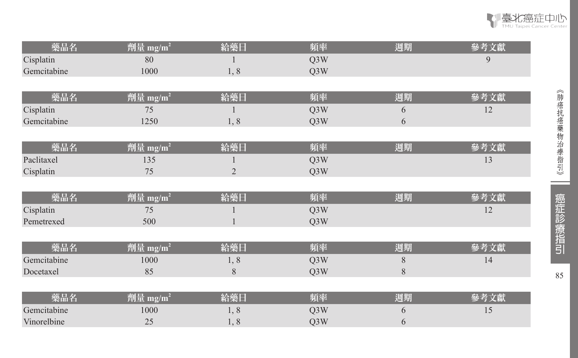| 藥品名         | 劑量 mg/m <sup>2</sup> | 給藥日            | 頻率               | 週期    | 參考文獻 |
|-------------|----------------------|----------------|------------------|-------|------|
| Cisplatin   | 80                   |                | Q3W              |       | 9    |
| Gemcitabine | 1000                 | 1, 8           | Q3W              |       |      |
|             |                      |                |                  |       |      |
| 藥品名         | 劑量 mg/m <sup>2</sup> | 給藥日            | 頻率               | 週期    | 參考文獻 |
| Cisplatin   | 75                   |                | Q3W              | 6     | 12   |
| Gemcitabine | 1250                 | 1, 8           | Q3W              | 6     |      |
|             |                      |                |                  |       |      |
| 藥品名         | 劑量 mg/m <sup>2</sup> | 給藥日            | 頻率               | 週期    | 參考文獻 |
| Paclitaxel  | 135                  |                | Q3W              |       | 13   |
| Cisplatin   | 75                   | $\overline{2}$ | Q3W              |       |      |
|             |                      |                |                  |       |      |
| 藥品名         | 劑量 mg/m <sup>2</sup> | 給藥日            | 頻率               | 週期    | 參考文獻 |
| Cisplatin   | 75                   |                | Q <sub>3</sub> W |       | 12   |
| Pemetrexed  | 500                  |                | Q3W              |       |      |
|             |                      |                |                  |       |      |
| 藥品名         | 劑量 mg/m <sup>2</sup> | 給藥日            | 頻率               | 週期    | 參考文獻 |
| Gemcitabine | 1000                 | 1,8            | Q3W              | $8\,$ | 14   |
| Docetaxel   | 85                   | 8              | Q <sub>3</sub> W | $8\,$ |      |
|             |                      |                |                  |       |      |
| 藥品名         | 劑量 mg/m <sup>2</sup> | 給藥日            | 頻率               | 週期    | 參考文獻 |
| Gemcitabine | 1000                 | 1, 8           | Q3W              | 6     | 15   |
| Vinorelbine | 25                   | 1,8            | Q3W              | 6     |      |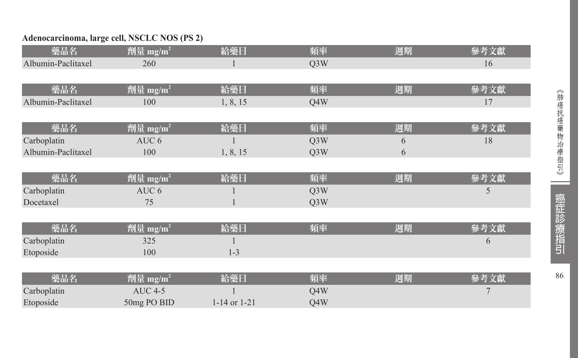#### **Adenocarcinoma, large cell, NSCLC NOS (PS 2)**

| 藥品名                | 劑量 mg/m <sup>2</sup> | 給藥日          | 頻率               | 週期 | 參考文獻 |
|--------------------|----------------------|--------------|------------------|----|------|
| Albumin-Paclitaxel | 260                  |              | Q <sub>3</sub> W |    | 16   |
|                    |                      |              |                  |    |      |
| 藥品名                | 劑量 mg/m <sup>2</sup> | 給藥日          | 頻率               | 週期 | 參考文獻 |
| Albumin-Paclitaxel | 100                  | 1, 8, 15     | O4W              |    | 17   |
|                    |                      |              |                  |    |      |
| 藥品名                | 劑量 mg/m <sup>2</sup> | 給藥日          | 頻率               | 週期 | 參考文獻 |
| Carboplatin        | AUC 6                |              | Q <sub>3</sub> W | 6  | 18   |
| Albumin-Paclitaxel | 100                  | 1, 8, 15     | Q <sub>3</sub> W | 6  |      |
|                    |                      |              |                  |    |      |
| 藥品名                | 劑量 mg/m <sup>2</sup> | 給藥日          | 頻率               | 週期 | 參考文獻 |
| Carboplatin        | AUC <sub>6</sub>     |              | Q <sub>3</sub> W |    | 5    |
| Docetaxel          | 75                   |              | Q3W              |    |      |
|                    |                      |              |                  |    |      |
| 藥品名                | 劑量 mg/m <sup>2</sup> | 給藥日          | 頻率               | 週期 | 參考文獻 |
| Carboplatin        | 325                  |              |                  |    | 6    |
| Etoposide          | 100                  | $1 - 3$      |                  |    |      |
|                    |                      |              |                  |    |      |
| 藥品名                | 劑量 mg/m <sup>2</sup> | 給藥日          | 頻率               | 週期 | 參考文獻 |
| Carboplatin        | <b>AUC 4-5</b>       |              | Q4W              |    |      |
| Etoposide          | 50mg PO BID          | 1-14 or 1-21 | Q4W              |    |      |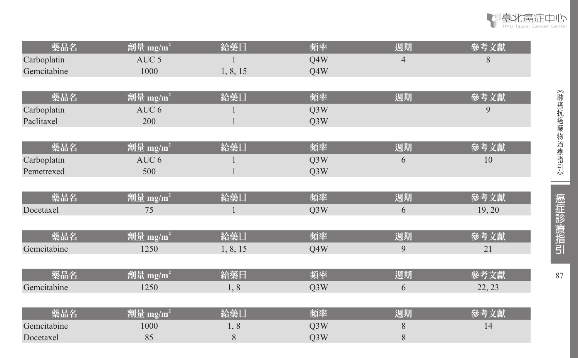| 藥品名         | 劑量 mg/m <sup>2</sup>                   | 給藥日      | 頻率               | 週期             | 參考文獻   |
|-------------|----------------------------------------|----------|------------------|----------------|--------|
| Carboplatin | AUC <sub>5</sub>                       |          | Q4W              | $\overline{4}$ | 8      |
| Gemcitabine | 1000                                   | 1, 8, 15 | Q4W              |                |        |
|             |                                        |          |                  |                |        |
| 藥品名         | 劑量 mg/m <sup>2</sup>                   | 給藥日      | 頻率               | 週期             | 參考文獻   |
| Carboplatin | AUC <sub>6</sub>                       |          | Q3W              |                | 9      |
| Paclitaxel  | 200                                    |          | Q3W              |                |        |
|             |                                        |          |                  |                |        |
| 藥品名         | 劑量 mg/m <sup>2</sup>                   | 給藥日      | 頻率               | 週期             | 參考文獻   |
| Carboplatin | AUC 6                                  |          | Q3W              | 6              | 10     |
| Pemetrexed  | 500                                    |          | Q3W              |                |        |
|             |                                        |          |                  |                |        |
| 藥品名         | 劑量 mg/m <sup>2</sup>                   | 給藥日      | 頻率               | 週期             | 參考文獻   |
| Docetaxel   | 75                                     | 1        | Q <sub>3</sub> W | 6              | 19, 20 |
|             |                                        |          |                  |                |        |
| 藥品名         | 劑量 mg/ $m^2$                           | 給藥日      | 頻率               | 週期             | 參考文獻   |
| Gemcitabine | 1250                                   | 1, 8, 15 | Q4W              | 9              | 21     |
|             |                                        |          |                  |                |        |
| 藥品名         | 劑量 mg/m <sup>2</sup>                   | 給藥日      | 頻率               | 週期             | 參考文獻   |
| Gemcitabine | 1250                                   | 1,8      | Q3W              | 6              | 22, 23 |
|             |                                        |          |                  |                |        |
| 藥品名         | $\overline{\r{m}}\equiv \text{mg/m}^2$ | 給藥日      | 頻率               | 週期             | 參考文獻   |
| Gemcitabine | 1000                                   | 1,8      | Q3W              | $8\,$          | 14     |
| Docetaxel   | 85                                     | 8        | Q3W              | $8\,$          |        |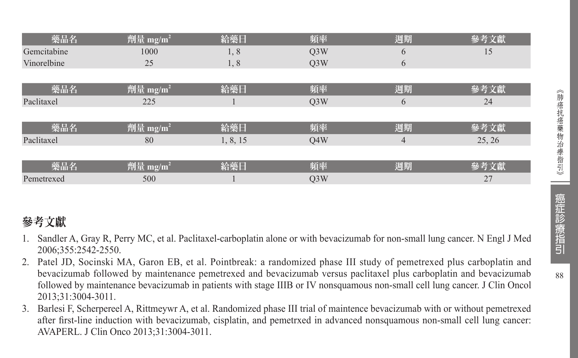| 藥品名         | 劑量 mg/m <sup>2</sup> | 給藥日      | 頻率               | 週期             | 參考文獻   |
|-------------|----------------------|----------|------------------|----------------|--------|
| Gemcitabine | 1000                 | 1,8      | Q <sub>3</sub> W | 6              | 15     |
| Vinorelbine | 25                   | 1, 8     | Q <sub>3</sub> W | 6              |        |
|             |                      |          |                  |                |        |
| 藥品名         | 劑量 mg/m <sup>2</sup> | 給藥日      | 頻率               | 週期             | 參考文獻   |
| Paclitaxel  | 225                  |          | Q <sub>3</sub> W | 6              | 24     |
|             |                      |          |                  |                |        |
| 藥品名         | 劑量 mg/m <sup>2</sup> | 給藥日      | 頻率               | 週期             | 參考文獻   |
| Paclitaxel  | 80                   | 1, 8, 15 | Q4W              | $\overline{4}$ | 25, 26 |
|             |                      |          |                  |                |        |
| 藥品名         | 劑量 mg/m <sup>2</sup> | 給藥日      | 頻率               | 週期             | 參考文獻   |
| Pemetrexed  | 500                  |          | Q <sub>3</sub> W |                | 27     |

# 參考文獻

- 1. Sandler A, Gray R, Perry MC, et al. Paclitaxel-carboplatin alone or with bevacizumab for non-small lung cancer. N Engl J Med 2006;355:2542-2550.
- 2. Patel JD, Socinski MA, Garon EB, et al. Pointbreak: a randomized phase III study of pemetrexed plus carboplatin and bevacizumab followed by maintenance pemetrexed and bevacizumab versus paclitaxel plus carboplatin and bevacizumab followed by maintenance bevacizumab in patients with stage IIIB or IV nonsquamous non-small cell lung cancer. J Clin Oncol 2013;31:3004-3011.
- 3. Barlesi F, Scherpereel A, Rittmeywr A, et al. Randomized phase III trial of maintence bevacizumab with or without pemetrexed after first-line induction with bevacizumab, cisplatin, and pemetrxed in advanced nonsquamous non-small cell lung cancer: AVAPERL. J Clin Onco 2013;31:3004-3011.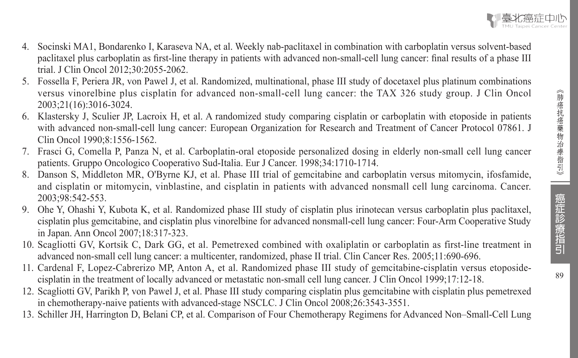4. Socinski MA1, Bondarenko I, Karaseva NA, et al. Weekly nab-paclitaxel in combination with carboplatin versus solvent-based paclitaxel plus carboplatin as first-line therapy in patients with advanced non-small-cell lung cancer: final results of a phase III

trial. J Clin Oncol 2012;30:2055-2062.

- 5. Fossella F, Periera JR, von Pawel J, et al. Randomized, multinational, phase III study of docetaxel plus platinum combinations versus vinorelbine plus cisplatin for advanced non-small-cell lung cancer: the TAX 326 study group. J Clin Oncol 2003;21(16):3016-3024.
- 6. Klastersky J, Sculier JP, Lacroix H, et al. A randomized study comparing cisplatin or carboplatin with etoposide in patients with advanced non-small-cell lung cancer: European Organization for Research and Treatment of Cancer Protocol 07861. J Clin Oncol 1990;8:1556-1562.
- 7. Frasci G, Comella P, Panza N, et al. Carboplatin-oral etoposide personalized dosing in elderly non-small cell lung cancer patients. Gruppo Oncologico Cooperativo Sud-Italia. Eur J Cancer. 1998;34:1710-1714.
- 8. Danson S, Middleton MR, O'Byrne KJ, et al. Phase III trial of gemcitabine and carboplatin versus mitomycin, ifosfamide, and cisplatin or mitomycin, vinblastine, and cisplatin in patients with advanced nonsmall cell lung carcinoma. Cancer. 2003;98:542-553.
- 9. Ohe Y, Ohashi Y, Kubota K, et al. Randomized phase III study of cisplatin plus irinotecan versus carboplatin plus paclitaxel, cisplatin plus gemcitabine, and cisplatin plus vinorelbine for advanced nonsmall-cell lung cancer: Four-Arm Cooperative Study in Japan. Ann Oncol 2007;18:317-323.
- 10. Scagliotti GV, Kortsik C, Dark GG, et al. Pemetrexed combined with oxaliplatin or carboplatin as first-line treatment in advanced non-small cell lung cancer: a multicenter, randomized, phase II trial. Clin Cancer Res. 2005;11:690-696.
- 11. Cardenal F, Lopez-Cabrerizo MP, Anton A, et al. Randomized phase III study of gemcitabine-cisplatin versus etoposidecisplatin in the treatment of locally advanced or metastatic non-small cell lung cancer. J Clin Oncol 1999;17:12-18.
- 12. Scagliotti GV, Parikh P, von Pawel J, et al. Phase III study comparing cisplatin plus gemcitabine with cisplatin plus pemetrexed in chemotherapy-naive patients with advanced-stage NSCLC. J Clin Oncol 2008;26:3543-3551.
- 13. Schiller JH, Harrington D, Belani CP, et al. Comparison of Four Chemotherapy Regimens for Advanced Non–Small-Cell Lung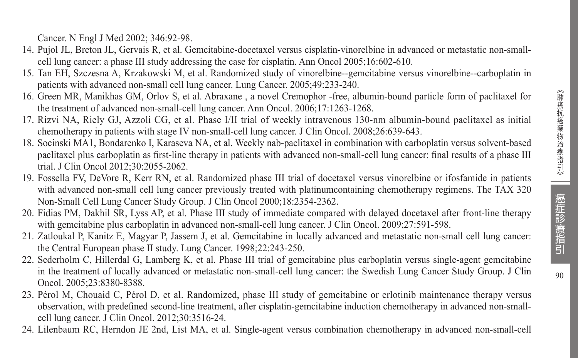Cancer. N Engl J Med 2002; 346:92-98.

- 14. Pujol JL, Breton JL, Gervais R, et al. Gemcitabine-docetaxel versus cisplatin-vinorelbine in advanced or metastatic non-smallcell lung cancer: a phase III study addressing the case for cisplatin. Ann Oncol 2005;16:602-610.
- 15. Tan EH, Szczesna A, Krzakowski M, et al. Randomized study of vinorelbine--gemcitabine versus vinorelbine--carboplatin in patients with advanced non-small cell lung cancer. Lung Cancer. 2005;49:233-240.
- 16. Green MR, Manikhas GM, Orlov S, et al. Abraxane , a novel Cremophor -free, albumin-bound particle form of paclitaxel for the treatment of advanced non-small-cell lung cancer. Ann Oncol. 2006;17:1263-1268.
- 17. Rizvi NA, Riely GJ, Azzoli CG, et al. Phase I/II trial of weekly intravenous 130-nm albumin-bound paclitaxel as initial chemotherapy in patients with stage IV non-small-cell lung cancer. J Clin Oncol. 2008;26:639-643.
- 18. Socinski MA1, Bondarenko I, Karaseva NA, et al. Weekly nab-paclitaxel in combination with carboplatin versus solvent-based paclitaxel plus carboplatin as first-line therapy in patients with advanced non-small-cell lung cancer: final results of a phase III trial. J Clin Oncol 2012;30:2055-2062.
- 19. Fossella FV, DeVore R, Kerr RN, et al. Randomized phase III trial of docetaxel versus vinorelbine or ifosfamide in patients with advanced non-small cell lung cancer previously treated with platinum containing chemotherapy regimens. The TAX 320 Non-Small Cell Lung Cancer Study Group. J Clin Oncol 2000;18:2354-2362.
- 20. Fidias PM, Dakhil SR, Lyss AP, et al. Phase III study of immediate compared with delayed docetaxel after front-line therapy with gemcitabine plus carboplatin in advanced non-small-cell lung cancer. J Clin Oncol. 2009;27:591-598.
- 21. Zatloukal P, Kanitz E, Magyar P, Jassem J, et al. Gemcitabine in locally advanced and metastatic non-small cell lung cancer: the Central European phase II study. Lung Cancer. 1998;22:243-250.
- 22. Sederholm C, Hillerdal G, Lamberg K, et al. Phase III trial of gemcitabine plus carboplatin versus single-agent gemcitabine in the treatment of locally advanced or metastatic non-small-cell lung cancer: the Swedish Lung Cancer Study Group. J Clin Oncol. 2005;23:8380-8388.
- 23. Pérol M, Chouaid C, Pérol D, et al. Randomized, phase III study of gemcitabine or erlotinib maintenance therapy versus observation, with predefined second-line treatment, after cisplatin-gemcitabine induction chemotherapy in advanced non-smallcell lung cancer. J Clin Oncol. 2012;30:3516-24.
- 24. Lilenbaum RC, Herndon JE 2nd, List MA, et al. Single-agent versus combination chemotherapy in advanced non-small-cell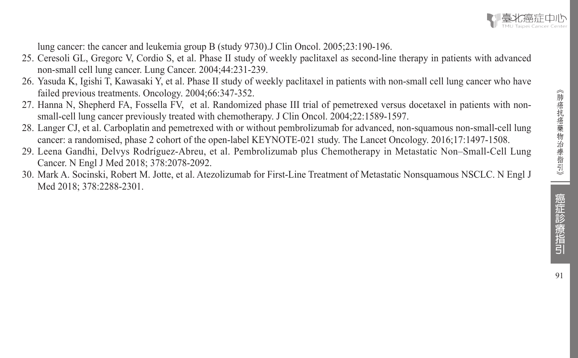

lung cancer: the cancer and leukemia group B (study 9730).J Clin Oncol. 2005;23:190-196.

- 25. Ceresoli GL, Gregorc V, Cordio S, et al. Phase II study of weekly paclitaxel as second-line therapy in patients with advanced non-small cell lung cancer. Lung Cancer. 2004;44:231-239.
- 26. Yasuda K, Igishi T, Kawasaki Y, et al. Phase II study of weekly paclitaxel in patients with non-small cell lung cancer who have failed previous treatments. Oncology. 2004;66:347-352.
- 27. Hanna N, Shepherd FA, Fossella FV, et al. Randomized phase III trial of pemetrexed versus docetaxel in patients with nonsmall-cell lung cancer previously treated with chemotherapy. J Clin Oncol. 2004;22:1589-1597.
- 28. Langer CJ, et al. Carboplatin and pemetrexed with or without pembrolizumab for advanced, non-squamous non-small-cell lung cancer: a randomised, phase 2 cohort of the open-label KEYNOTE-021 study. The Lancet Oncology. 2016;17:1497-1508.
- 29. Leena Gandhi, Delvys Rodríguez-Abreu, et al. Pembrolizumab plus Chemotherapy in Metastatic Non–Small-Cell Lung Cancer. N Engl J Med 2018; 378:2078-2092.
- 30. Mark A. Socinski, Robert M. Jotte, et al. Atezolizumab for First-Line Treatment of Metastatic Nonsquamous NSCLC. N Engl J Med 2018; 378:2288-2301.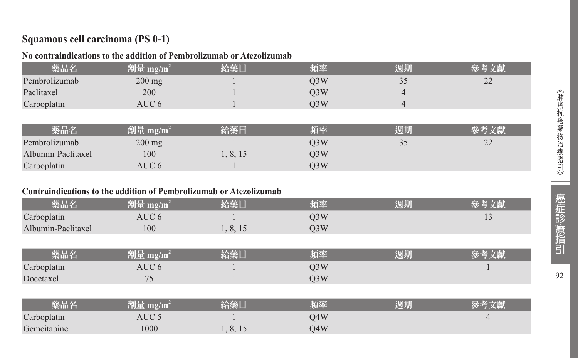#### **Squamous cell carcinoma (PS 0-1)**

#### **No contraindications to the addition of Pembrolizumab or Atezolizumab**

| 藥品名                | 劑量 mg/m <sup>2</sup> | 給藥日      | 頻率               | 週期 | 參考文獻 |
|--------------------|----------------------|----------|------------------|----|------|
| Pembrolizumab      | $200$ mg             |          | O <sub>3</sub> W | 35 | 22   |
| Paclitaxel         | 200                  |          | Q <sub>3</sub> W | 4  |      |
| Carboplatin        | AUC <sub>6</sub>     |          | O <sub>3</sub> W | 4  |      |
|                    |                      |          |                  |    |      |
| 藥品名                | 劑量 mg/m <sup>2</sup> | 給藥日      | 頻率               | 週期 | 參考文獻 |
| Pembrolizumab      | $200$ mg             |          | O <sub>3</sub> W | 35 | 22   |
| Albumin-Paclitaxel | 100                  | 1, 8, 15 | Q <sub>3</sub> W |    |      |
| Carboplatin        | AUC 6                |          | O <sub>3</sub> W |    |      |

#### **Contraindications to the addition of Pembrolizumab or Atezolizumab**

| 藥品名                | 劑量 mg/m $^{\rm 2}$ | 給藥日      | 頻率  | 週期 |  |
|--------------------|--------------------|----------|-----|----|--|
| Carboplatin        | AUC 6              |          | 03W |    |  |
| Albumin-Paclitaxel | 100                | 1, 8, 15 | O3W |    |  |

| 樂品名         | 澗庫<br>$\mathbf{m}$ g/m | 公靈口 | 陌本  | 週期 |  |
|-------------|------------------------|-----|-----|----|--|
| Carboplatin | AUC 6                  |     | 23W |    |  |
| Docetaxel   |                        |     | J3W |    |  |

| 藥品名         | 劑量 mg/m'   | 給藥日      | 頻率  | 週期 |  |
|-------------|------------|----------|-----|----|--|
| Carboplatin | AUC $\leq$ |          | 04W |    |  |
| Gemcitabine | 000        | 1, 8, 15 | 04W |    |  |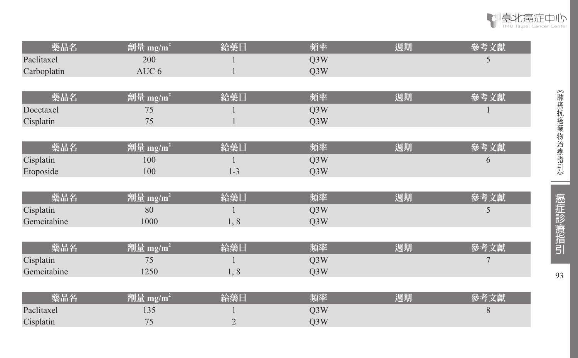| 藥品名         | $\sqrt{m \ln 2}$ mg/m <sup>2</sup>                          | 給藥日     | 頻率               | 週期 | 參考文獻 |
|-------------|-------------------------------------------------------------|---------|------------------|----|------|
| Paclitaxel  | 200                                                         |         | Q <sub>3</sub> W |    | 5    |
| Carboplatin | AUC 6                                                       |         | Q3W              |    |      |
|             |                                                             |         |                  |    |      |
| 藥品名         | 劑量 mg/m <sup>2</sup>                                        | 給藥日     | 頻率               | 週期 | 參考文獻 |
| Docetaxel   | 75                                                          |         | Q <sub>3</sub> W |    |      |
| Cisplatin   | 75                                                          |         | Q3W              |    |      |
|             |                                                             |         |                  |    |      |
| 藥品名         | 劑量 mg/m <sup>2</sup>                                        | 給藥日     | 頻率               | 週期 | 參考文獻 |
| Cisplatin   | 100                                                         |         | Q3W              |    | 6    |
| Etoposide   | 100                                                         | $1 - 3$ | Q3W              |    |      |
|             |                                                             |         |                  |    |      |
| 藥品名         | 劑量 mg/m <sup>2</sup>                                        | 給藥日     | 頻率               | 週期 | 參考文獻 |
| Cisplatin   | 80                                                          |         | Q <sub>3</sub> W |    | 5    |
| Gemcitabine | 1000                                                        | 1,8     | Q3W              |    |      |
|             |                                                             |         |                  |    |      |
| 藥品名         | 劑量 mg/m <sup>2</sup>                                        | 給藥日     | 頻率               | 週期 | 參考文獻 |
| Cisplatin   | 75                                                          |         | Q3W              |    | 7    |
| Gemcitabine | 1250                                                        | 1,8     | Q3W              |    |      |
|             |                                                             |         |                  |    |      |
| 藥品名         | $\overline{\rceil \hat{\pbb{F}}\rceil}$ 量 mg/m <sup>2</sup> | 給藥日     | 頻率               | 週期 | 參考文獻 |
| Paclitaxel  | 135                                                         |         | Q3W              |    | 8    |
| Cisplatin   | 75                                                          | 2       | Q3W              |    |      |

R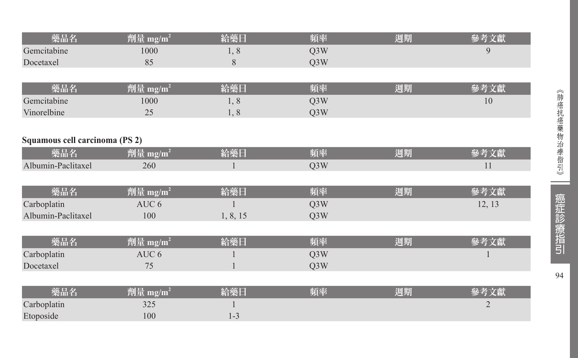| 藥品名                            | 劑量 mg/m <sup>2</sup> | 給藥日       | 頻率  | 週期 | 參考文獻           |
|--------------------------------|----------------------|-----------|-----|----|----------------|
| Gemcitabine                    | 1000                 | 1,8       | Q3W |    | 9              |
| Docetaxel                      | 85                   | $\,$ $\,$ | Q3W |    |                |
|                                |                      |           |     |    |                |
| 藥品名                            | 劑量 mg/m <sup>2</sup> | 給藥日       | 頻率  | 週期 | 參考文獻           |
| Gemcitabine                    | 1000                 | 1,8       | Q3W |    | 10             |
| Vinorelbine                    | 25                   | 1,8       | Q3W |    |                |
|                                |                      |           |     |    |                |
| Squamous cell carcinoma (PS 2) |                      |           |     |    |                |
| 藥品名                            | 劑量 mg/m <sup>2</sup> | 給藥日       | 頻率  | 週期 | 參考文獻           |
| Albumin-Paclitaxel             | 260                  |           | Q3W |    | 11             |
|                                |                      |           |     |    |                |
| 藥品名                            | 劑量 mg/m <sup>2</sup> | 給藥日       | 頻率  | 週期 | 參考文獻           |
| Carboplatin                    | AUC 6                |           | Q3W |    | 12, 13         |
| Albumin-Paclitaxel             | 100                  | 1, 8, 15  | Q3W |    |                |
|                                |                      |           |     |    |                |
| 藥品名                            | 劑量 mg/m <sup>2</sup> | 給藥日       | 頻率  | 週期 | 參考文獻           |
| Carboplatin                    | AUC 6                |           | Q3W |    |                |
| Docetaxel                      | 75                   |           | Q3W |    |                |
|                                |                      |           |     |    |                |
| 藥品名                            | 劑量 mg/ $m^2$         | 給藥日       | 頻率  | 週期 | 參考文獻           |
| Carboplatin                    | 325                  |           |     |    | $\overline{2}$ |
| Etoposide                      | 100                  | $1 - 3$   |     |    |                |

《肺癌抗癌藥物治療指引》 〈肺癌抗癌藥物治療指引》 || 痘1症h形||痔2拃h口 || 94

--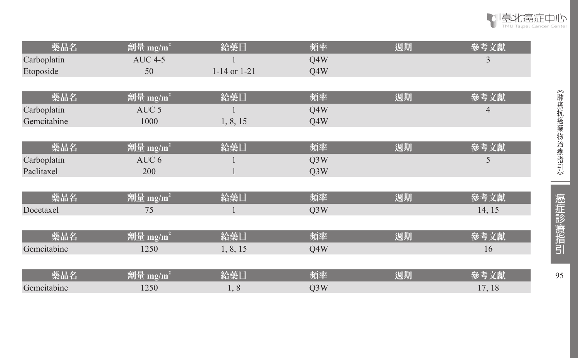| 藥品名         | 劑量 mg/m <sup>2</sup>           | 給藥日              | 頻率               | 週期 | 參考文獻   |
|-------------|--------------------------------|------------------|------------------|----|--------|
| Carboplatin | <b>AUC 4-5</b>                 |                  | Q4W              |    | 3      |
| Etoposide   | 50                             | $1-14$ or $1-21$ | Q4W              |    |        |
|             |                                |                  |                  |    |        |
| 藥品名         | $\sqrt{m}$ 量 mg/m <sup>2</sup> | 給藥日              | 頻率               | 週期 | 參考文獻   |
| Carboplatin | AUC <sub>5</sub>               |                  | Q4W              |    | 4      |
| Gemcitabine | 1000                           | 1, 8, 15         | Q4W              |    |        |
|             |                                |                  |                  |    |        |
| 藥品名         | 劑量 mg/m <sup>2</sup>           | 給藥日              | 頻率               | 週期 | 參考文獻   |
| Carboplatin | AUC <sub>6</sub>               |                  | Q <sub>3</sub> W |    | 5      |
| Paclitaxel  | 200                            |                  | Q <sub>3</sub> W |    |        |
|             |                                |                  |                  |    |        |
| 藥品名         | 劑量 mg/m <sup>2</sup>           | 給藥日              | 頻率               | 週期 | 參考文獻   |
| Docetaxel   | 75                             |                  | Q <sub>3</sub> W |    | 14, 15 |
|             |                                |                  |                  |    |        |
| 藥品名         | 劑量 mg/m <sup>2</sup>           | 給藥日              | 頻率               | 週期 | 參考文獻   |
| Gemcitabine | 1250                           | 1, 8, 15         | Q4W              |    | 16     |
|             |                                |                  |                  |    |        |
| 藥品名         | 劑量 mg/m <sup>2</sup>           | 給藥日              | 頻率               | 週期 | 參考文獻   |
| Gemcitabine | 1250                           | 1,8              | Q3W              |    | 17, 18 |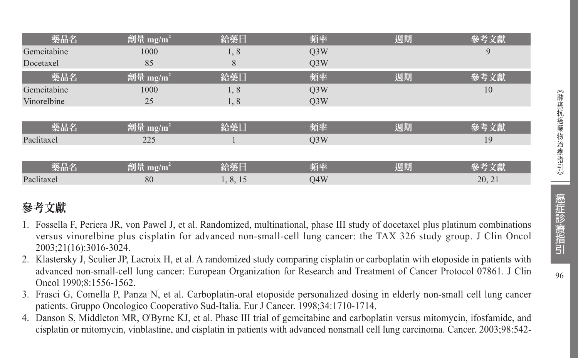| 藥品名         | 劑量 mg/m <sup>2</sup> | 給藥日      | 頻率               | 週期 | 參考文獻   |
|-------------|----------------------|----------|------------------|----|--------|
| Gemcitabine | 1000                 | 1,8      | Q <sub>3</sub> W |    | 9      |
| Docetaxel   | 85                   | 8        | O <sub>3</sub> W |    |        |
| 藥品名         | 劑量 mg/m <sup>2</sup> | 給藥日      | 頻率               | 週期 | 參考文獻   |
| Gemcitabine | 1000                 | 1, 8     | Q <sub>3</sub> W |    | 10     |
| Vinorelbine | 25                   | 1,8      | O <sub>3</sub> W |    |        |
|             |                      |          |                  |    |        |
| 藥品名         | 劑量 mg/m <sup>2</sup> | 給藥日      | 頻率               | 週期 | 參考文獻   |
| Paclitaxel  | 225                  |          | O <sub>3</sub> W |    | 19     |
|             |                      |          |                  |    |        |
| 藥品名         | 劑量 mg/m <sup>2</sup> | 給藥日      | 頻率               | 週期 | 參考文獻   |
| Paclitaxel  | 80                   | 1, 8, 15 | O4W              |    | 20, 21 |

# 參考文獻

- 1. Fossella F, Periera JR, von Pawel J, et al. Randomized, multinational, phase III study of docetaxel plus platinum combinations versus vinorelbine plus cisplatin for advanced non-small-cell lung cancer: the TAX 326 study group. J Clin Oncol 2003;21(16):3016-3024.
- 2. Klastersky J, Sculier JP, Lacroix H, et al. A randomized study comparing cisplatin or carboplatin with etoposide in patients with advanced non-small-cell lung cancer: European Organization for Research and Treatment of Cancer Protocol 07861. J Clin Oncol 1990;8:1556-1562.
- 3. Frasci G, Comella P, Panza N, et al. Carboplatin-oral etoposide personalized dosing in elderly non-small cell lung cancer patients. Gruppo Oncologico Cooperativo Sud-Italia. Eur J Cancer. 1998;34:1710-1714.
- 4. Danson S, Middleton MR, O'Byrne KJ, et al. Phase III trial of gemcitabine and carboplatin versus mitomycin, ifosfamide, and cisplatin or mitomycin, vinblastine, and cisplatin in patients with advanced nonsmall cell lung carcinoma. Cancer. 2003;98:542-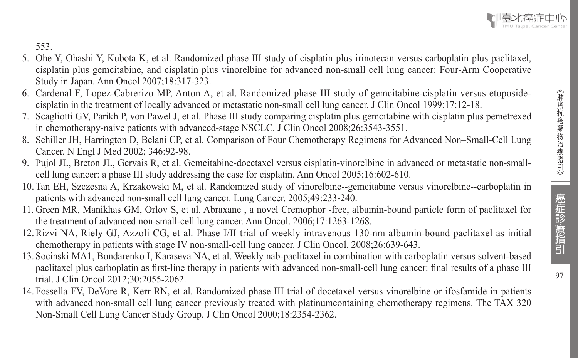

553.

- 5. Ohe Y, Ohashi Y, Kubota K, et al. Randomized phase III study of cisplatin plus irinotecan versus carboplatin plus paclitaxel, cisplatin plus gemcitabine, and cisplatin plus vinorelbine for advanced non-small cell lung cancer: Four-Arm Cooperative Study in Japan. Ann Oncol 2007;18:317-323.
- 6. Cardenal F, Lopez-Cabrerizo MP, Anton A, et al. Randomized phase III study of gemcitabine-cisplatin versus etoposidecisplatin in the treatment of locally advanced or metastatic non-small cell lung cancer. J Clin Oncol 1999;17:12-18.
- 7. Scagliotti GV, Parikh P, von Pawel J, et al. Phase III study comparing cisplatin plus gemcitabine with cisplatin plus pemetrexed in chemotherapy-naive patients with advanced-stage NSCLC. J Clin Oncol 2008;26:3543-3551.
- 8. Schiller JH, Harrington D, Belani CP, et al. Comparison of Four Chemotherapy Regimens for Advanced Non–Small-Cell Lung Cancer. N Engl J Med 2002; 346:92-98.
- 9. Pujol JL, Breton JL, Gervais R, et al. Gemcitabine-docetaxel versus cisplatin-vinorelbine in advanced or metastatic non-smallcell lung cancer: a phase III study addressing the case for cisplatin. Ann Oncol 2005;16:602-610.
- 10. Tan EH, Szczesna A, Krzakowski M, et al. Randomized study of vinorelbine--gemcitabine versus vinorelbine--carboplatin in patients with advanced non-small cell lung cancer. Lung Cancer. 2005;49:233-240.
- 11. Green MR, Manikhas GM, Orlov S, et al. Abraxane , a novel Cremophor -free, albumin-bound particle form of paclitaxel for the treatment of advanced non-small-cell lung cancer. Ann Oncol. 2006;17:1263-1268.
- 12.Rizvi NA, Riely GJ, Azzoli CG, et al. Phase I/II trial of weekly intravenous 130-nm albumin-bound paclitaxel as initial chemotherapy in patients with stage IV non-small-cell lung cancer. J Clin Oncol. 2008;26:639-643.
- 13. Socinski MA1, Bondarenko I, Karaseva NA, et al. Weekly nab-paclitaxel in combination with carboplatin versus solvent-based paclitaxel plus carboplatin as first-line therapy in patients with advanced non-small-cell lung cancer: final results of a phase III trial. J Clin Oncol 2012;30:2055-2062.
- 14. Fossella FV, DeVore R, Kerr RN, et al. Randomized phase III trial of docetaxel versus vinorelbine or ifosfamide in patients with advanced non-small cell lung cancer previously treated with platinum containing chemotherapy regimens. The TAX 320 Non-Small Cell Lung Cancer Study Group. J Clin Oncol 2000;18:2354-2362.

癌症診療指引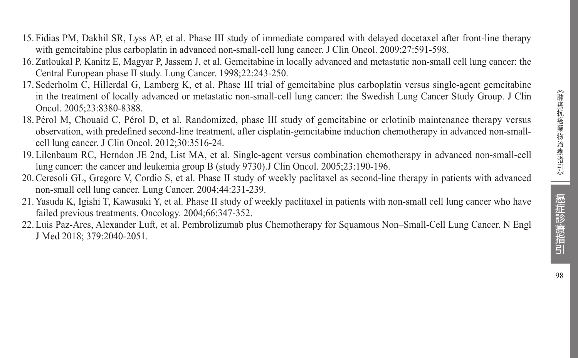- 15. Fidias PM, Dakhil SR, Lyss AP, et al. Phase III study of immediate compared with delayed docetaxel after front-line therapy with gemcitabine plus carboplatin in advanced non-small-cell lung cancer. J Clin Oncol. 2009;27:591-598.
- 16. Zatloukal P, Kanitz E, Magyar P, Jassem J, et al. Gemcitabine in locally advanced and metastatic non-small cell lung cancer: the Central European phase II study. Lung Cancer. 1998;22:243-250.
- 17. Sederholm C, Hillerdal G, Lamberg K, et al. Phase III trial of gemcitabine plus carboplatin versus single-agent gemcitabine in the treatment of locally advanced or metastatic non-small-cell lung cancer: the Swedish Lung Cancer Study Group. J Clin Oncol. 2005;23:8380-8388.
- 18. Pérol M, Chouaid C, Pérol D, et al. Randomized, phase III study of gemcitabine or erlotinib maintenance therapy versus observation, with predefined second-line treatment, after cisplatin-gemcitabine induction chemotherapy in advanced non-smallcell lung cancer. J Clin Oncol. 2012;30:3516-24.
- 19. Lilenbaum RC, Herndon JE 2nd, List MA, et al. Single-agent versus combination chemotherapy in advanced non-small-cell lung cancer: the cancer and leukemia group B (study 9730).J Clin Oncol. 2005;23:190-196.
- 20.Ceresoli GL, Gregorc V, Cordio S, et al. Phase II study of weekly paclitaxel as second-line therapy in patients with advanced non-small cell lung cancer. Lung Cancer. 2004;44:231-239.
- 21. Yasuda K, Igishi T, Kawasaki Y, et al. Phase II study of weekly paclitaxel in patients with non-small cell lung cancer who have failed previous treatments. Oncology. 2004;66:347-352.
- 22. Luis Paz-Ares, Alexander Luft, et al. Pembrolizumab plus Chemotherapy for Squamous Non–Small-Cell Lung Cancer. N Engl J Med 2018; 379:2040-2051.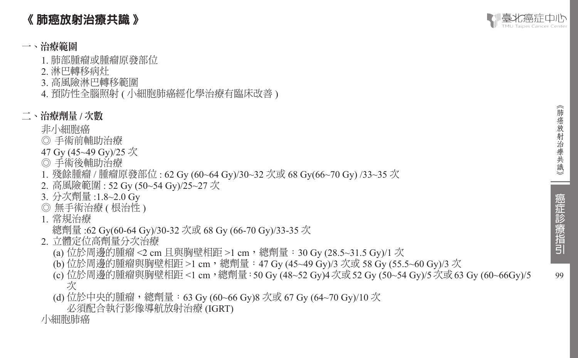# 《 肺癌放射治療共識 》

### 一、治療範圍

- 1. 肺部腫瘤或腫瘤原發部位
- 2. 淋巴轉移病灶
- 3. 高風險淋巴轉移範圍
- 4. 預防性全腦照射 ( 小細胞肺癌經化學治療有臨床改善 )

#### 二、治療劑量 **/** 次數

- 非小細胞癌
- ◎ 手術前輔助治療
- 47 Gy (45~49 Gy)/25 次
- ◎ 手術後輔助治療
- 1. 殘餘腫瘤 / 腫瘤原發部位 : 62 Gy (60~64 Gy)/30~32 次或 68 Gy(66~70 Gy) /33~35 次
- 2. 高風險範圍 : 52 Gy (50~54 Gy)/25~27 次
- 3. 分次劑量 :1.8~2.0 Gy
- ◎ 無手術治療 ( 根治性 )
- 1. 常規治療
	- 總劑量 :62 Gy(60-64 Gy)/30-32 次或 68 Gy (66-70 Gy)/33-35 次
- 2. 立體定位高劑量分次治療
	- (a) 位於周邊的腫瘤 <2 cm 且與胸壁相距 >1 cm,總劑量:30 Gy (28.5~31.5 Gy)/1 次
	- (b) 位於周邊的腫瘤與胸壁相距 >1 cm,總劑量:47 Gy (45~49 Gy)/3 次或 58 Gy (55.5~60 Gy)/3 次
	- (c) 位於周邊的腫瘤與胸壁相距 <1 cm,總劑量:50 Gy (48~52 Gy)4次或52 Gy (50~54 Gy)/5次或63 Gy (60~66Gy)/5 次
	- (d) 位於中央的腫瘤,總劑量:63 Gy (60~66 Gy)8 次或 67 Gy (64~70 Gy)/10 次
		- 必須配合執行影像導航放射治療 (IGRT)
- 小細胞肺癌